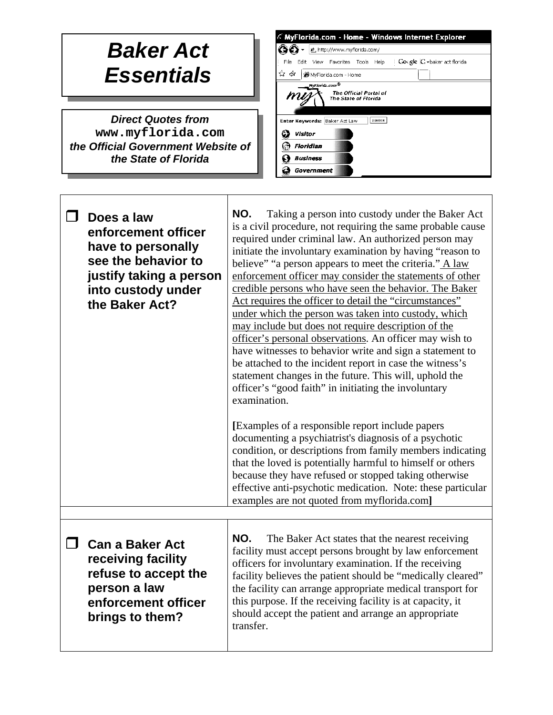## *Baker Act Essentials*

*Direct Quotes from*  **[www.myflorida.com](http://www.myflorida.com/)** *the Official Government Website of the State of Florida*

 $\Gamma$ 

| A MyFlorida.com - Home - Windows Internet Explorer                                 |  |  |  |  |  |
|------------------------------------------------------------------------------------|--|--|--|--|--|
| 色 http://www.myflorida.com/                                                        |  |  |  |  |  |
| Cougle C vbaker act florida<br>Help :<br>File<br>Edit<br>View Favorites Tools      |  |  |  |  |  |
| Ŵ<br>47<br>MyFlorida.com - Home                                                    |  |  |  |  |  |
| MyFlorida.com <sup>®</sup><br>The Official Portal of<br>mu<br>The State of Florida |  |  |  |  |  |
| Enter Keywords: Baker Act Law<br><b>SEARCH</b>                                     |  |  |  |  |  |
| Visitor                                                                            |  |  |  |  |  |
| Floridian                                                                          |  |  |  |  |  |
| <b>Business</b>                                                                    |  |  |  |  |  |
| Government                                                                         |  |  |  |  |  |

| Does a law<br>enforcement officer<br>have to personally<br>see the behavior to<br>justify taking a person<br>into custody under<br>the Baker Act? | NO.<br>Taking a person into custody under the Baker Act<br>is a civil procedure, not requiring the same probable cause<br>required under criminal law. An authorized person may<br>initiate the involuntary examination by having "reason to<br>believe" "a person appears to meet the criteria." A law<br>enforcement officer may consider the statements of other<br>credible persons who have seen the behavior. The Baker<br>Act requires the officer to detail the "circumstances"<br>under which the person was taken into custody, which<br>may include but does not require description of the<br>officer's personal observations. An officer may wish to<br>have witnesses to behavior write and sign a statement to<br>be attached to the incident report in case the witness's<br>statement changes in the future. This will, uphold the<br>officer's "good faith" in initiating the involuntary<br>examination.<br>[Examples of a responsible report include papers]<br>documenting a psychiatrist's diagnosis of a psychotic<br>condition, or descriptions from family members indicating<br>that the loved is potentially harmful to himself or others<br>because they have refused or stopped taking otherwise<br>effective anti-psychotic medication. Note: these particular<br>examples are not quoted from myflorida.com] |
|---------------------------------------------------------------------------------------------------------------------------------------------------|---------------------------------------------------------------------------------------------------------------------------------------------------------------------------------------------------------------------------------------------------------------------------------------------------------------------------------------------------------------------------------------------------------------------------------------------------------------------------------------------------------------------------------------------------------------------------------------------------------------------------------------------------------------------------------------------------------------------------------------------------------------------------------------------------------------------------------------------------------------------------------------------------------------------------------------------------------------------------------------------------------------------------------------------------------------------------------------------------------------------------------------------------------------------------------------------------------------------------------------------------------------------------------------------------------------------------------------------|
| <b>Can a Baker Act</b><br>receiving facility<br>refuse to accept the<br>person a law<br>enforcement officer<br>brings to them?                    | NO.<br>The Baker Act states that the nearest receiving<br>facility must accept persons brought by law enforcement<br>officers for involuntary examination. If the receiving<br>facility believes the patient should be "medically cleared"<br>the facility can arrange appropriate medical transport for<br>this purpose. If the receiving facility is at capacity, it<br>should accept the patient and arrange an appropriate<br>transfer.                                                                                                                                                                                                                                                                                                                                                                                                                                                                                                                                                                                                                                                                                                                                                                                                                                                                                                 |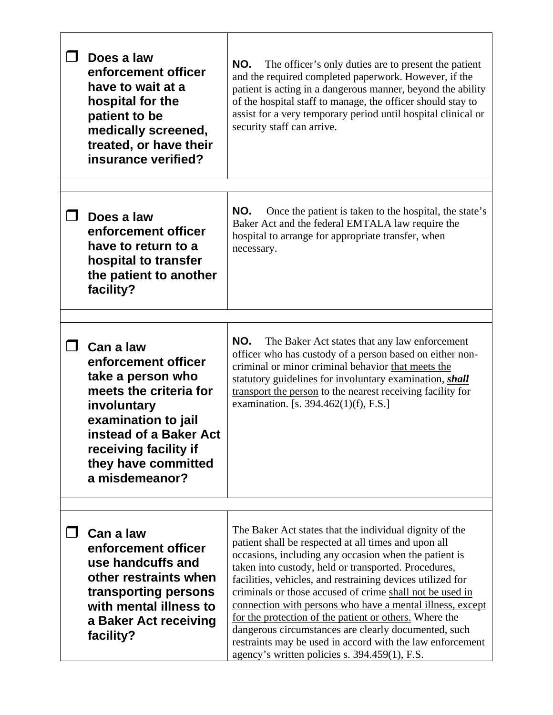| Does a law<br>enforcement officer<br>have to wait at a<br>hospital for the<br>patient to be<br>medically screened,<br>treated, or have their<br>insurance verified?                                                      | NO.<br>The officer's only duties are to present the patient<br>and the required completed paperwork. However, if the<br>patient is acting in a dangerous manner, beyond the ability<br>of the hospital staff to manage, the officer should stay to<br>assist for a very temporary period until hospital clinical or<br>security staff can arrive.                                                                                                                                                                                                                                                                                                       |
|--------------------------------------------------------------------------------------------------------------------------------------------------------------------------------------------------------------------------|---------------------------------------------------------------------------------------------------------------------------------------------------------------------------------------------------------------------------------------------------------------------------------------------------------------------------------------------------------------------------------------------------------------------------------------------------------------------------------------------------------------------------------------------------------------------------------------------------------------------------------------------------------|
| Does a law<br>enforcement officer<br>have to return to a<br>hospital to transfer<br>the patient to another<br>facility?                                                                                                  | NO.<br>Once the patient is taken to the hospital, the state's<br>Baker Act and the federal EMTALA law require the<br>hospital to arrange for appropriate transfer, when<br>necessary.                                                                                                                                                                                                                                                                                                                                                                                                                                                                   |
| $\Box$ Can a law<br>enforcement officer<br>take a person who<br>meets the criteria for<br>involuntary<br>examination to jail<br>instead of a Baker Act<br>receiving facility if<br>they have committed<br>a misdemeanor? | NO.<br>The Baker Act states that any law enforcement<br>officer who has custody of a person based on either non-<br>criminal or minor criminal behavior that meets the<br>statutory guidelines for involuntary examination, shall<br>transport the person to the nearest receiving facility for<br>examination. [s. 394.462(1)(f), F.S.]                                                                                                                                                                                                                                                                                                                |
| Can a law<br>enforcement officer<br>use handcuffs and<br>other restraints when<br>transporting persons<br>with mental illness to<br>a Baker Act receiving<br>facility?                                                   | The Baker Act states that the individual dignity of the<br>patient shall be respected at all times and upon all<br>occasions, including any occasion when the patient is<br>taken into custody, held or transported. Procedures,<br>facilities, vehicles, and restraining devices utilized for<br>criminals or those accused of crime shall not be used in<br>connection with persons who have a mental illness, except<br>for the protection of the patient or others. Where the<br>dangerous circumstances are clearly documented, such<br>restraints may be used in accord with the law enforcement<br>agency's written policies s. 394.459(1), F.S. |